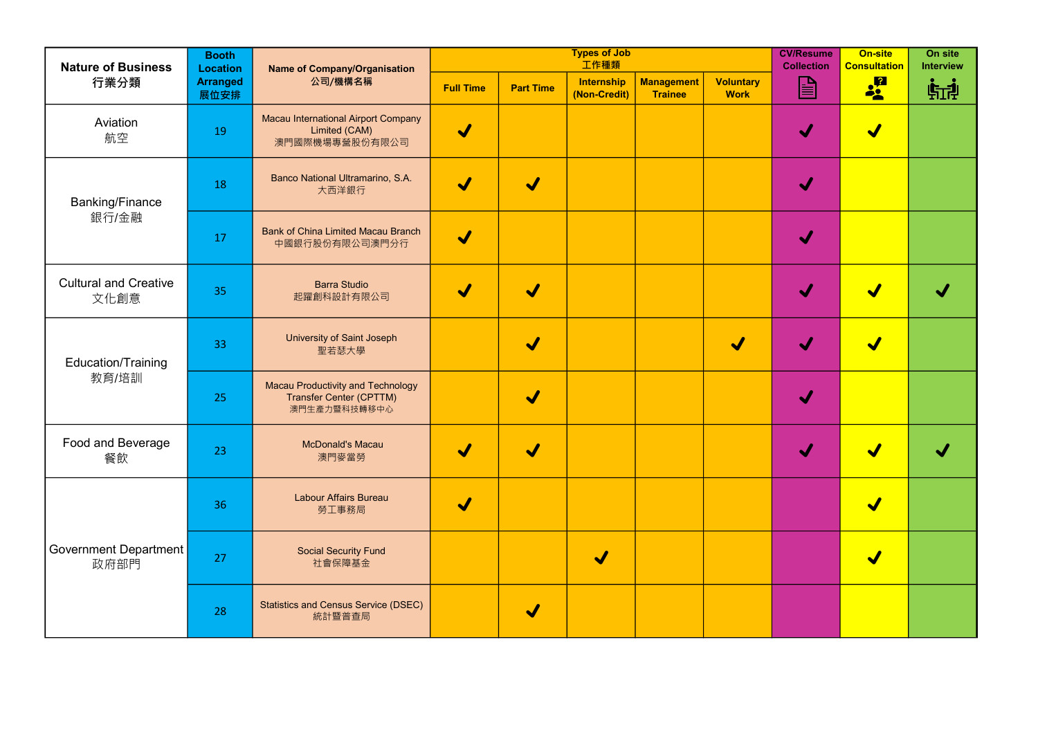| <b>Nature of Business</b>            | <b>Booth</b><br><b>Location</b><br><b>Arranged</b><br>展位安排 | <b>Name of Company/Organisation</b><br>公司/機構名稱                                             |                            |                         | <b>Types of Job</b><br>工作種類       | <b>CV/Resume</b><br><b>Collection</b> | <b>On-site</b><br><b>Consultation</b> | On site<br><b>Interview</b> |                      |    |
|--------------------------------------|------------------------------------------------------------|--------------------------------------------------------------------------------------------|----------------------------|-------------------------|-----------------------------------|---------------------------------------|---------------------------------------|-----------------------------|----------------------|----|
| 行業分類                                 |                                                            |                                                                                            | <b>Full Time</b>           | <b>Part Time</b>        | <b>Internship</b><br>(Non-Credit) | <b>Management</b><br><b>Trainee</b>   | <b>Voluntary</b><br><b>Work</b>       | $\mathbf{E}$                | <b>og</b>            | 临地 |
| Aviation<br>航空                       | 19                                                         | <b>Macau International Airport Company</b><br>Limited (CAM)<br>澳門國際機場專營股份有限公司              | $\blacktriangledown$       |                         |                                   |                                       |                                       |                             | $\blacktriangledown$ |    |
| <b>Banking/Finance</b><br>銀行/金融      | 18                                                         | Banco National Ultramarino, S.A.<br>大西洋銀行                                                  | $\boldsymbol{\mathcal{N}}$ | $\blacktriangledown$    |                                   |                                       |                                       |                             |                      |    |
|                                      | 17                                                         | <b>Bank of China Limited Macau Branch</b><br>中國銀行股份有限公司澳門分行                                | $\blacklozenge$            |                         |                                   |                                       |                                       |                             |                      |    |
| <b>Cultural and Creative</b><br>文化創意 | 35                                                         | <b>Barra Studio</b><br>起躍創科設計有限公司                                                          | $\blacktriangledown$       | <b>V</b>                |                                   |                                       |                                       |                             |                      |    |
| <b>Education/Training</b><br>教育/培訓   | 33                                                         | <b>University of Saint Joseph</b><br>聖若瑟大學                                                 |                            | <b>J</b>                |                                   |                                       | $\blacktriangleright$                 |                             | $\blacktriangledown$ |    |
|                                      | 25                                                         | <b>Macau Productivity and Technology</b><br><b>Transfer Center (CPTTM)</b><br>澳門生產力暨科技轉移中心 |                            | $\blacklozenge$         |                                   |                                       |                                       |                             |                      |    |
| Food and Beverage<br>餐飲              | 23                                                         | <b>McDonald's Macau</b><br>澳門麥當勞                                                           | $\blacktriangledown$       | $\overline{\mathbf{v}}$ |                                   |                                       |                                       |                             |                      |    |
| <b>Government Department</b><br>政府部門 | 36                                                         | <b>Labour Affairs Bureau</b><br>勞工事務局                                                      | V                          |                         |                                   |                                       |                                       |                             | $\blacktriangledown$ |    |
|                                      | 27                                                         | <b>Social Security Fund</b><br>社會保障基金                                                      |                            |                         | $\blacktriangledown$              |                                       |                                       |                             | $\blacktriangledown$ |    |
|                                      | 28                                                         | <b>Statistics and Census Service (DSEC)</b><br>統計暨普查局                                      |                            | V                       |                                   |                                       |                                       |                             |                      |    |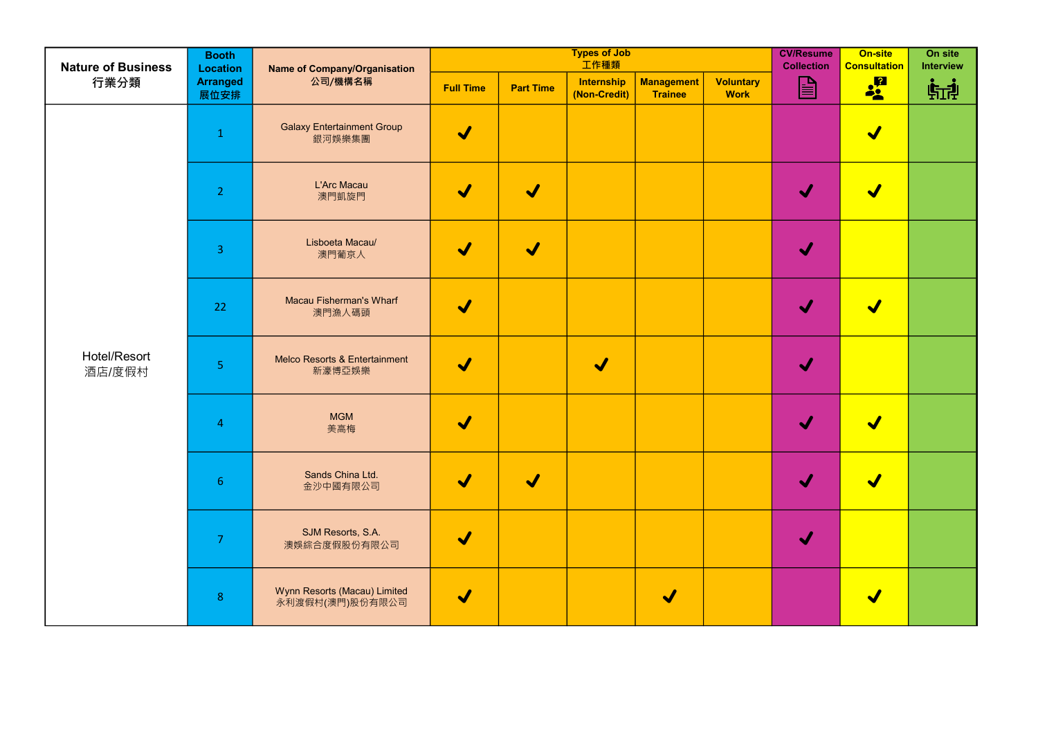| <b>Nature of Business</b><br>行業分類 | <b>Booth</b><br>Location | <b>Name of Company/Organisation</b><br>公司/機構名稱  |                            |                            | <b>Types of Job</b><br>工作種類       | <b>CV/Resume</b><br><b>Collection</b> | On-site<br><b>Consultation</b>  | On site<br><b>Interview</b> |                            |              |
|-----------------------------------|--------------------------|-------------------------------------------------|----------------------------|----------------------------|-----------------------------------|---------------------------------------|---------------------------------|-----------------------------|----------------------------|--------------|
|                                   | <b>Arranged</b><br>展位安排  |                                                 | <b>Full Time</b>           | <b>Part Time</b>           | <b>Internship</b><br>(Non-Credit) | <b>Management</b><br><b>Trainee</b>   | <b>Voluntary</b><br><b>Work</b> | $\mathbf{E}$                | <b>of</b> a                | <b>FITA!</b> |
| Hotel/Resort<br>酒店/度假村            | $\mathbf{1}$             | <b>Galaxy Entertainment Group</b><br>銀河娛樂集團     | $\blacklozenge$            |                            |                                   |                                       |                                 |                             | $\blacktriangledown$       |              |
|                                   | 2 <sup>1</sup>           | L'Arc Macau<br>澳門凱旋門                            | $\blacklozenge$            | $\boldsymbol{\mathcal{N}}$ |                                   |                                       |                                 | $\blacktriangleright$       | $\blacktriangledown$       |              |
|                                   | $\overline{3}$           | Lisboeta Macau/<br>澳門葡京人                        | $\blacklozenge$            | $\blacktriangledown$       |                                   |                                       |                                 | $\blacklozenge$             |                            |              |
|                                   | 22                       | <b>Macau Fisherman's Wharf</b><br>澳門漁人碼頭        | $\blacklozenge$            |                            |                                   |                                       |                                 | $\blacktriangleright$       | $\boldsymbol{\mathcal{N}}$ |              |
|                                   | 5                        | Melco Resorts & Entertainment<br>新濠博亞娛樂         | $\blacktriangledown$       |                            | $\blacktriangledown$              |                                       |                                 |                             |                            |              |
|                                   | 4                        | <b>MGM</b><br>美高梅                               | $\blacktriangledown$       |                            |                                   |                                       |                                 |                             |                            |              |
|                                   | 6 <sup>1</sup>           | Sands China Ltd.<br>金沙中國有限公司                    | $\blacktriangledown$       |                            |                                   |                                       |                                 |                             |                            |              |
|                                   | 7                        | SJM Resorts, S.A.<br>澳娛綜合度假股份有限公司               | $\blacktriangledown$       |                            |                                   |                                       |                                 |                             |                            |              |
|                                   | 8                        | Wynn Resorts (Macau) Limited<br>永利渡假村(澳門)股份有限公司 | $\boldsymbol{\mathcal{N}}$ |                            |                                   |                                       |                                 |                             |                            |              |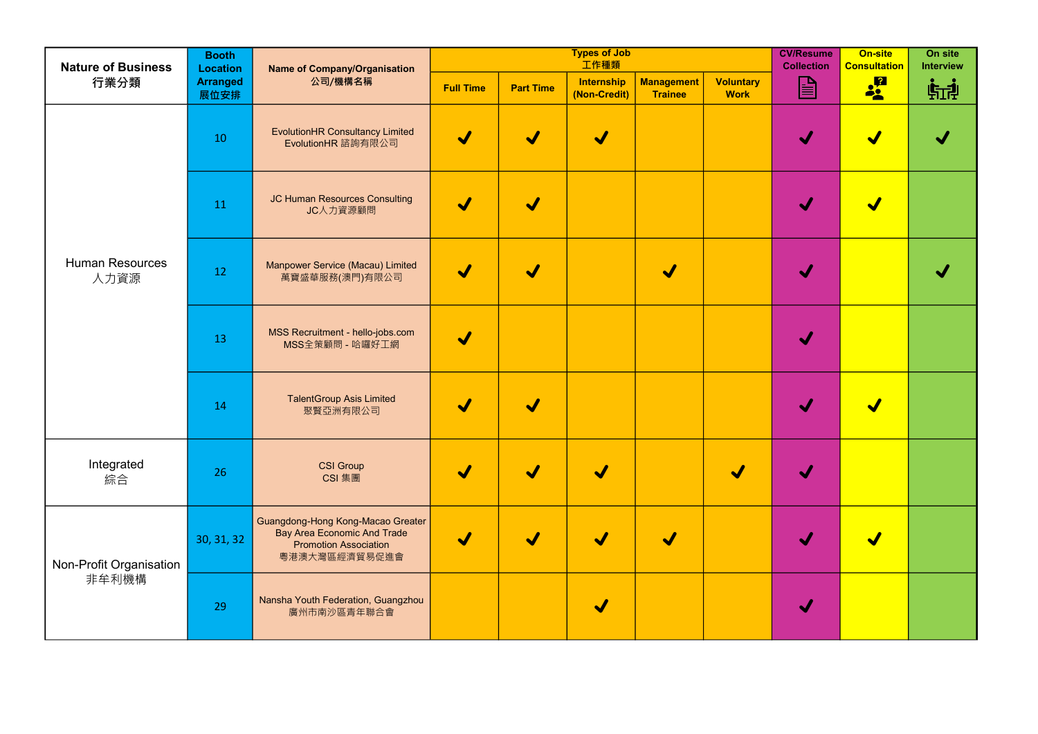| <b>Nature of Business</b>        | <b>Booth</b><br><b>Location</b><br><b>Arranged</b><br>展位安排 | <b>Name of Company/Organisation</b><br>公司/機構名稱                                                                           |                      |                      | <b>Types of Job</b><br>工作種類       | <b>CV/Resume</b><br><b>Collection</b> | On-site<br><b>Consultation</b>  | On site<br><b>Interview</b> |                       |    |
|----------------------------------|------------------------------------------------------------|--------------------------------------------------------------------------------------------------------------------------|----------------------|----------------------|-----------------------------------|---------------------------------------|---------------------------------|-----------------------------|-----------------------|----|
| 行業分類                             |                                                            |                                                                                                                          | <b>Full Time</b>     | <b>Part Time</b>     | <b>Internship</b><br>(Non-Credit) | <b>Management</b><br><b>Trainee</b>   | <b>Voluntary</b><br><b>Work</b> | $\triangleq$                | <b>of</b>             | 临地 |
| <b>Human Resources</b><br>人力資源   | 10                                                         | <b>EvolutionHR Consultancy Limited</b><br>EvolutionHR 諮詢有限公司                                                             | $\blacktriangledown$ | V                    | $\blacktriangledown$              |                                       |                                 |                             |                       |    |
|                                  | 11                                                         | JC Human Resources Consulting<br>JC人力資源顧問                                                                                | $\blacktriangledown$ | $\blacktriangledown$ |                                   |                                       |                                 |                             | $\blacktriangleright$ |    |
|                                  | 12                                                         | Manpower Service (Macau) Limited<br>萬寶盛華服務(澳門)有限公司                                                                       | $\blacktriangledown$ |                      |                                   |                                       |                                 |                             |                       |    |
|                                  | 13                                                         | MSS Recruitment - hello-jobs.com<br>MSS全策顧問 - 哈囉好工網                                                                      | V                    |                      |                                   |                                       |                                 |                             |                       |    |
|                                  | 14                                                         | <b>TalentGroup Asis Limited</b><br>聚賢亞洲有限公司                                                                              | $\blacktriangledown$ |                      |                                   |                                       |                                 |                             |                       |    |
| Integrated<br>綜合                 | 26                                                         | <b>CSI Group</b><br>CSI 集團                                                                                               | $\blacktriangledown$ | $\blacktriangledown$ | $\blacktriangledown$              |                                       | $\blacklozenge$                 |                             |                       |    |
| Non-Profit Organisation<br>非牟利機構 | 30, 31, 32                                                 | Guangdong-Hong Kong-Macao Greater<br><b>Bay Area Economic And Trade</b><br><b>Promotion Association</b><br>粵港澳大灣區經濟貿易促進會 | $\blacktriangledown$ |                      |                                   |                                       |                                 |                             |                       |    |
|                                  | 29                                                         | Nansha Youth Federation, Guangzhou<br>廣州市南沙區青年聯合會                                                                        |                      |                      | $\blacklozenge$                   |                                       |                                 |                             |                       |    |